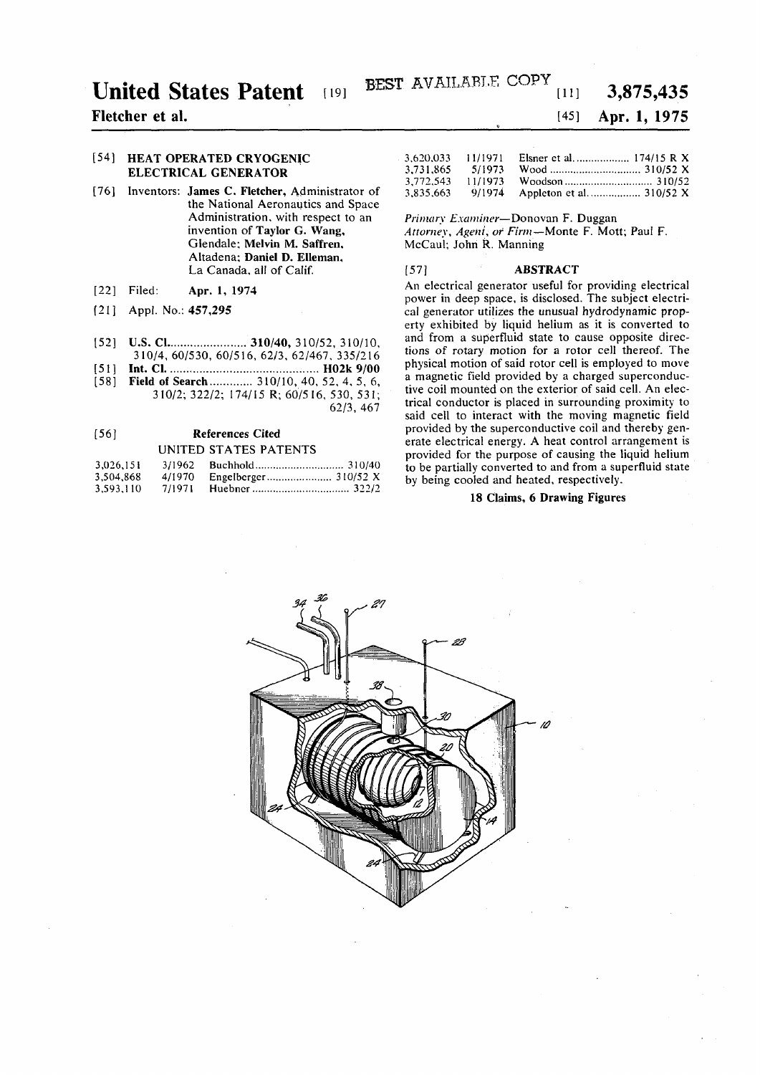# **United States Patent**

# **Fletcher et al.**

## [54] **HEAT OPERATED CRYOGENIC ELECTRICAL GENERATOR**

- [76] Inventors: **James** C. **Fletcher,** Administrator of the National Aeronautics and Space Administration, with respect to an invention of **Taylor** G. **Wang,**  Glendale; Melvin M. Saffren, Altadena; Daniel D. Elleman, La Canada, all of Calif.
- [22] Filed: **Apr.** 1, 1974
- [21] Appl. No.: **457,295**
- [52] **U.S. Cl..................... 310/40,** 310/52, 310/10, 310/4, 60/530, 60/516, 62/3, 62/467, 335/216
- [51] **Int. CI H02k 9/00**
- [58] **Field of Search** ............. 310/10, 40, 52, 4, 5, 6, 310/2; 322/2; 174/15 R; 60/516, 530, 531; 62/3, 467

# [56] **References Cited**

### UNITED STATES PATENTS

| 3.026.151 | 3/1962 |  |
|-----------|--------|--|
| 3,504,868 | 4/1970 |  |
| 3.593.110 | 7/1971 |  |

#### [45] **Apr. 1, 1975**

**3,875,43 5** 

| 3.620.033 | 11/1971 |  |
|-----------|---------|--|
| 3.731.865 | 5/1973  |  |
| 3.772.543 | 11/1973 |  |
| 3.835.663 | 9/1974  |  |

#### *Primary Examiner*—Donovan F. Duggan

*Attorney, Ageni, of Firm*—Monte F. Mott; Paul F. McCaul; John R. Manning

#### [57] **ABSTRACT**

An electrical generator useful for providing electrical power in deep space, is disclosed. The subject electrical generator utilizes the unusual hydrodynamic property exhibited by liquid helium as it is converted to and from a superfluid state to cause opposite directions of rotary motion for a rotor cell thereof. The physical motion of said rotor cell is employed to move a magnetic field provided by a charged superconductive coil mounted on the exterior of said cell. An electrical conductor is placed in surrounding proximity to said cell to interact with the moving magnetic field provided by the superconductive coil and thereby generate electrical energy. A heat control arrangement is provided for the purpose of causing the liquid helium to be partially converted to and from a superfluid state by being cooled and heated, respectively.

## **18 Claims, 6 Drawing Figures**

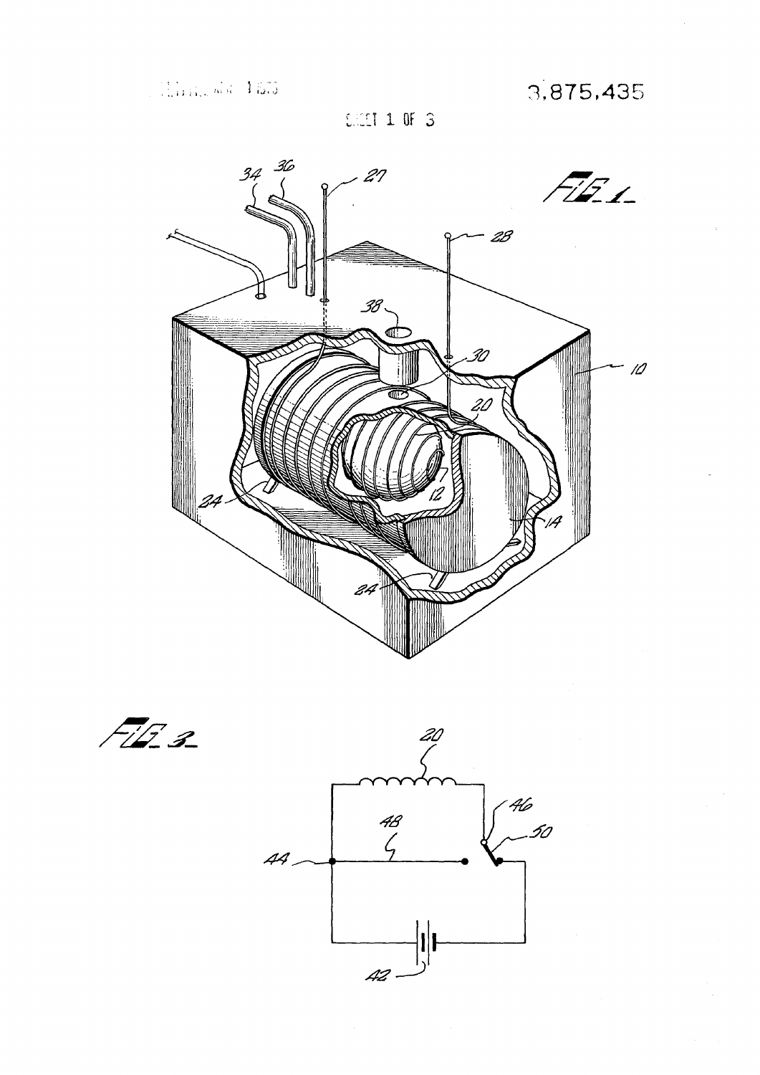3,875,435

**SACET 1 OF 3** 



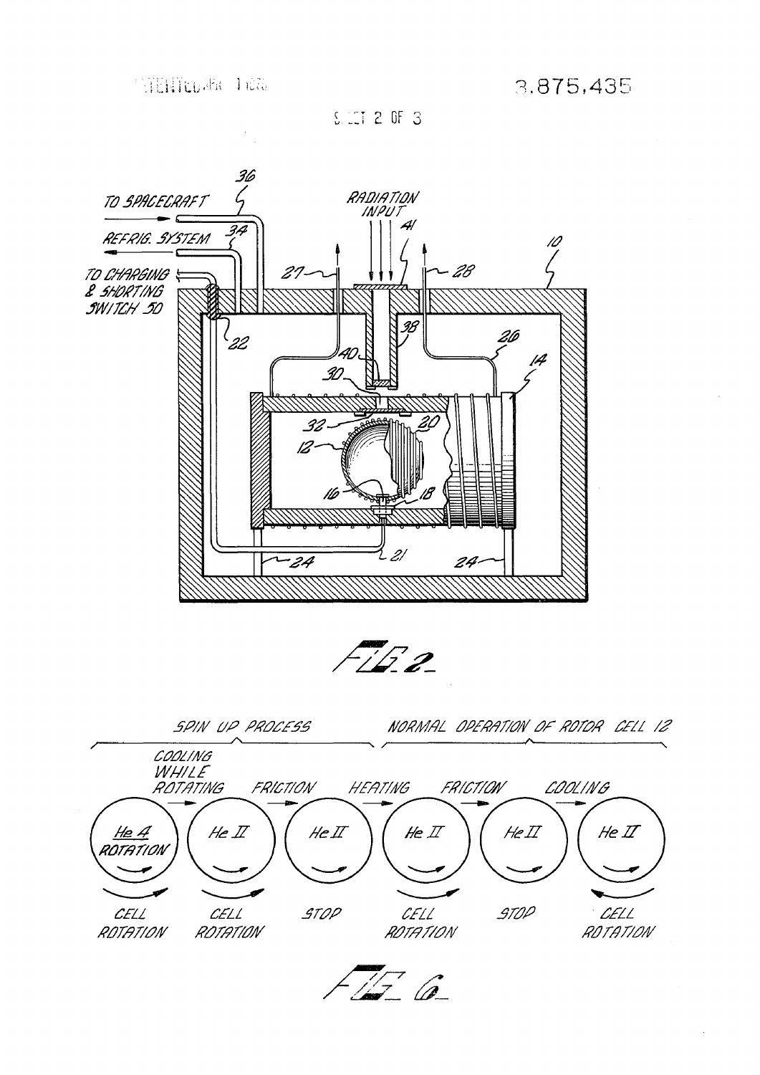$S$  CT 2 OF 3

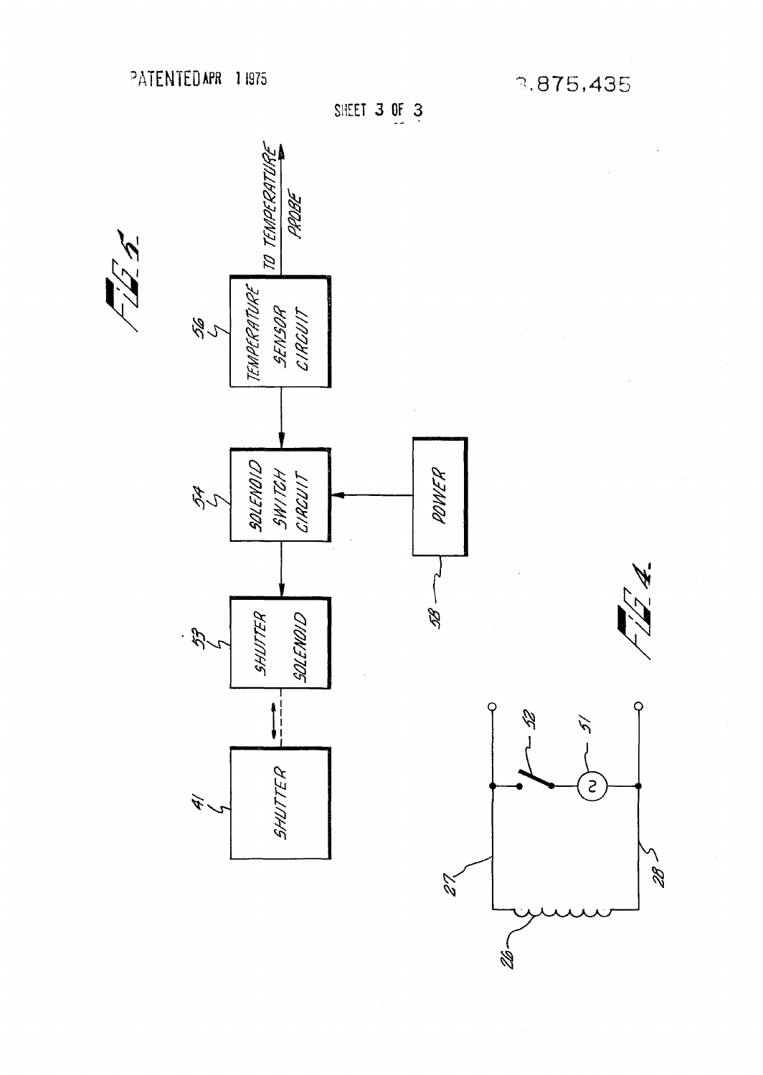3.875,435





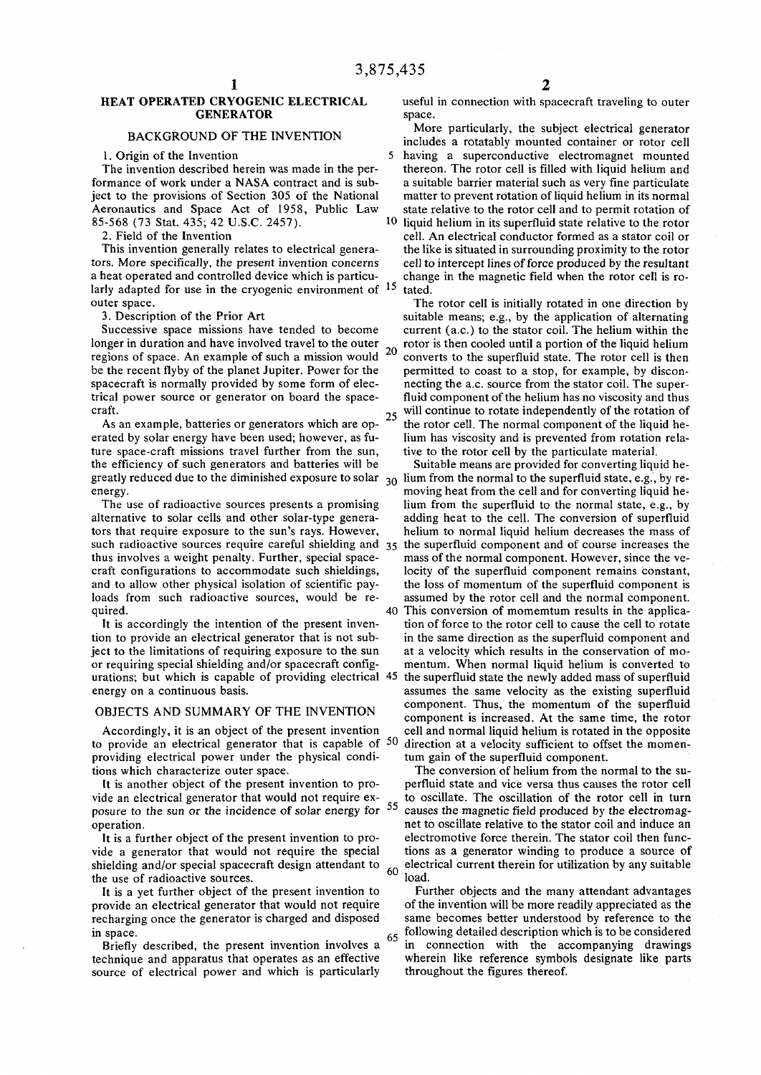## HEAT OPERATED CRYOGENIC ELECTRICAL useful in connection with spacecraft traveling to outer GENERATOR space.

# BACKGROUND OF THE INVENTION

larly adapted for use in the cryogenic environment of  $^{15}$  tated. outer space. The rotor cell is initially rotated in one direction by

longer in duration and have involved travel to the outer  $r_{\text{tot}}$  rotor is then cooled until a portion of the liquid helium regions of space. An example of such a mission would  $\sim$  converts to the superfluid state. The rotor cell is then be the recent flyby of the planet Jupiter. Power for the permitted to coast to a stop, for example, by disconspacecraft is normally provided by some form of elec- necting the a.c. source from the stator coil. The supertrical power source or generator on board the space-<br>fluid component of the helium has no viscosity and thus

ture space-craft missions travel further from the sun, tive to the rotor cell by the particulate material, the efficiency of such generators and batteries will be Suitable means are provided for converting liquid he-

quired. This conversion of momemtum results in the applica-

# OBJECTS AND SUMMARY OF THE INVENTION

providing electrical power under the physical condi-<br>turn gain of the superfluid component. tions which characterize outer space. The conversion of helium from the normal to the su-

posure to the sun or the incidence of solar energy for  $5$ .

the use of radioactive sources.  $\qquad \qquad$  load.

recharging once the generator is charged and disposed

technique and apparatus that operates as an effective wherein like reference symbols source of electrical power and which is particularly throughout the figures thereof. source of electrical power and which is particularly

More particularly, the subject electrical generator includes a rotatably mounted container or rotor cell 1. Origin of the Invention 5 having a superconductive electromagnet mounted The invention described herein was made in the per- thereon. The rotor cell is filled with liquid helium and formance of work under a NASA contract and is sub- a suitable barrier material such as very fine particulate ject to the provisions of Section 305 of the National matter to prevent rotation of liquid helium in its normal<br>Aeronautics and Space Act of 1958, Public Law state relative to the rotor cell and to permit rotation of Aeronautics and Space Act of 1958, Public Law state relative to the rotor cell and to permit rotation of 85-568 (73 Stat. 435; 42 U.S.C. 2457). liquid helium in its superfluid state relative to the rotor 2. Field of the Invention cell. An electrical conductor formed as a stator coil or This invention generally relates to electrical genera- the like is situated in surrounding proximity to the rotor tors. More specifically, the present invention concerns cell to intercept lines of force produced by the resultant a heat operated and controlled device which is particu- change in the magnetic field when the rotor cell is ro-

3. Description of the Prior Art suitable means; e.g., by the application of alternating Successive space missions have tended to become current (a.c.) to the stator coil. The helium within the craft.<br>As an example, batteries or constates which one on  $25$  will continue to rotate independently of the rotation of As an example, batteries or generators which are op- $\frac{25}{10}$  the rotor cell. The normal component of the liquid heerated by solar energy have been used; however, as fu-<br>lium has viscosity and is prevented from rotation rela-

greatly reduced due to the diminished exposure to solar  $30$  lium from the normal to the superfluid state, e.g., by reenergy. **Example 2.** moving heat from the cell and for converting liquid he-The use of radioactive sources presents a promising lium from the superfluid to the normal state, e.g., by alternative to solar cells and other solar-type genera- adding heat to the cell. The conversion of superfluid tors that require exposure to the sun's rays. However, helium to normal liquid helium decreases the mass of such radioactive sources require careful shielding and  $35$  the superfluid component and of course increases the thus involves a weight penalty. Further, special space- mass of the normal component. However, since the vecraft configurations to accommodate such shieldings, locity of the superfluid component remains constant, and to allow other physical isolation of scientific pay- the loss of momentum of the superfluid component is loads from such radioactive sources, would be re-<br>assumed by the rotor cell and the normal component.

It is accordingly the intention of the present inven-<br>tion of force to the rotor cell to cause the cell to rotate tion to provide an electrical generator that is not sub- in the same direction as the superfluid component and ject to the limitations of requiring exposure to the sun at a velocity which results in the conservation of moor requiring special shielding and/or spacecraft config- mentum. When normal liquid helium is converted to urations; but which is capable of providing electrical 45 the superfluid state the newly added mass of superfluid energy on a continuous basis.  $\blacksquare$  assumes the same velocity as the existing superfluid component. Thus, the momentum of the superfluid component is increased. At the same time, the rotor Accordingly, it is an object of the present invention cell and normal liquid helium is rotated in the opposite to provide an electrical generator that is capable of  $50$  direction at a velocity sufficient to offset the momen-

it is another object of the present invention to pro- perfluid state and vice versa thus causes the rotor cell vide an electrical generator that would not require ex- $\epsilon$  to oscillate. The oscillation of the rotor cell in turn causes the magnetic field produced by the electromagoperation. net to oscillate relative to the stator coil and induce an It is a further object of the present invention to pro- electromotive force therein. The stator coil then funcvide a generator that would not require the special tions as a generator winding to produce a source of shielding and/or special spacecraft design attendant to  $60$  electrical current therein for utilization by any suitable

It is a yet further object of the present invention to Further objects and the many attendant advantages covide an electrical generator that would not require of the invention will be more readily appreciated as the provide an electrical generator that would not require of the invention will be more readily appreciated as the recharging once the generator is charged and disposed same becomes better understood by reference to the in space.<br>Briefly described, the present invention involves a  $\frac{65}{10}$  following detailed description which is to be considered Briefly described, the present invention involves a  $\frac{65}{10}$  in connection with the acc

in connection with the accompanying drawings wherein like reference symbols designate like parts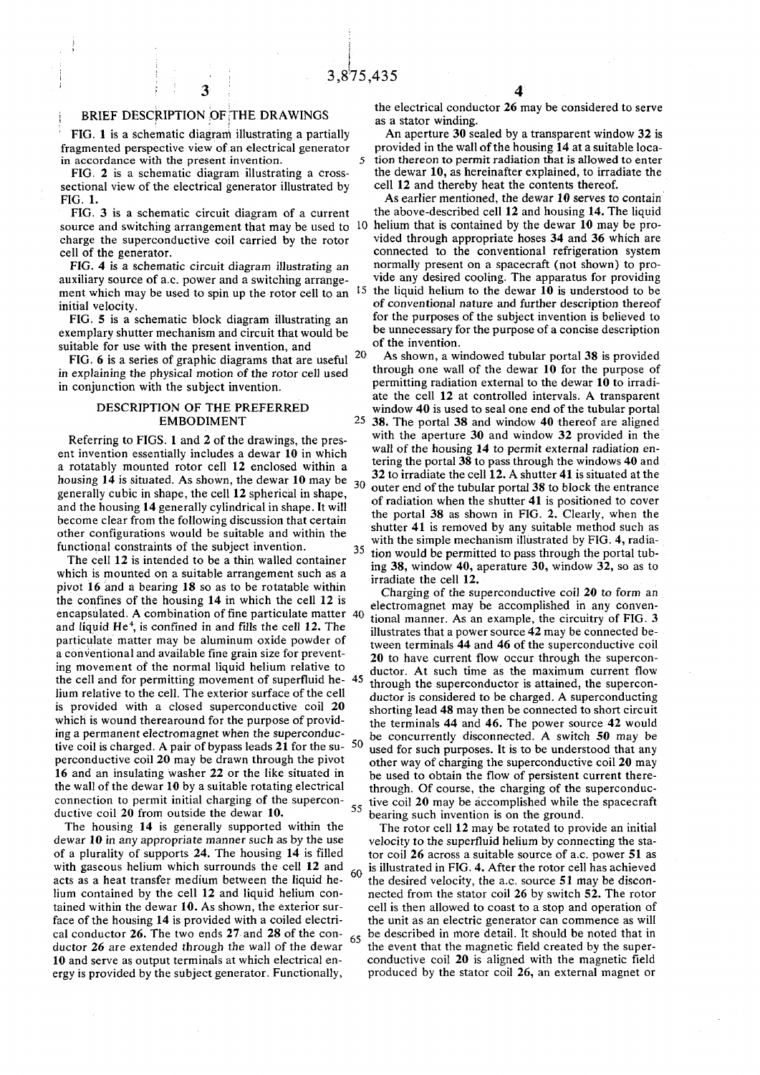# ; BRIEF DESCRIPTION OF THE DRAWINGS

3

FIG. 1 is a schematic diagrani illustrating a partially fragmented perspective view of an electrical generator in accordance with the present invention.

FIG. 2 is a schematic diagram illustrating a crosssectional view of the electrical generator illustrated by FIG. 1.

FIG. 3 is a schematic circuit diagram of a current source and switching arrangement that may be used to 10 helium that is contained by the dewar 10 may be procharge the superconductive coil carried by the rotor cell of the generator.

FIG. 4 is a schematic circuit diagram illustrating an auxiliary source of a.c. power and a switching arrangement which may be used to spin up the rotor cell to an <sup>15</sup> initial velocity.

FIG. 5 is a schematic block diagram illustrating an exemplary shutter mechanism and circuit that would be suitable for use with the present invention, and

FIG. 6 is a series of graphic diagrams that are useful <sup>20</sup> in explaining the physical motion of the rotor cell used in conjunction with the subject invention.

## DESCRIPTION OF THE PREFERRED EMBODIMENT

Referring to FIGS. 1 and 2 of the drawings, the present invention essentially includes a dewar 10 in which a rotatably mounted rotor cell 12 enclosed within a housing 14 is situated. As shown, the dewar 10 may be generally cubic in shape, the cell 12 spherical in shape, and the housing 14 generally cylindrical in shape. It will become clear from the following discussion that certain other configurations would be suitable and within the functional constraints of the subject invention.  $\overline{a}$  $\overline{a}$ 

The cell 12 is intended to be a thin walled container which is mounted on a suitable arrangement such as a pivot 16 and a bearing 18 so as to be rotatable within the confines of the housing 14 in which the cell 12 is encapsulated. A combination of fine particulate matter 40 and liquid He<sup> $4$ </sup>, is confined in and fills the cell 12. The particulate matter may be aluminum oxide powder of a conventional and available fine grain size for preventing movement of the normal liquid helium relative to the cell and for permitting movement of superfluid he-45 lium relative to the cell. The exterior surface of the cell is provided with a closed superconductive coil 20 which is wound therearound for the purpose of providing a permanent electromagnet when the superconductive coil is charged. A pair of bypass leads 21 for the su-  $50$ perconductive coil 20 may be drawn through the pivot 16 and an insulating washer 22 or the like situated in the wall of the dewar 10 by a suitable rotating electrical connection to permit initial charging of the superconductive coil 20 from outside the dewar 10. 55

The housing 14 is generally supported within the dewar 10 in any appropriate manner such as by the use of a plurality of supports 24. The housing 14 is filled with gaseous helium which surrounds the cell 12 and acts as a heat transfer medium between the liquid helium contained by the cell 12 and liquid helium contained within the dewar 10. As shown, the exterior surface of the housing 14 is provided with a coiled electrical conductor 26. The two ends 27 and 28 of the conductor 26 are extended through the wall of the dewar 10 and serve as output terminals at which electrical energy is provided by the subject generator. Functionally, 60 65

the electrical conductor 26 may be considered to serve as a stator winding.

An aperture 30 sealed by a transparent window 32 is provided in the wall of the housing 14 at a suitable loca-5 tion thereon to permit radiation that is allowed to enter the dewar 10, as hereinafter explained, to irradiate the cell 12 and thereby heat the contents thereof.

As earlier mentioned, the dewar 10 serves to contain the above-described cell 12 and housing 14. The liquid vided through appropriate hoses 34 and 36 which are connected to the conventional refrigeration system normally present on a spacecraft (not shown) to provide any desired cooling. The apparatus for providing the liquid helium to the dewar  $10$  is understood to be of conventional nature and further description thereof for the purposes of the subject invention is believed to be unnecessary for the purpose of a concise description of the invention.

As shown, a windowed tubular portal 38 is provided through one wall of the dewar 10 for the purpose of permitting radiation external to the dewar 10 to irradiate the cell 12 at controlled intervals. A transparent window 40 is used to seal one end of the tubular portal 25 38. The portal 38 and window 40 thereof are aligned with the aperture 30 and window 32 provided in the wall of the housing 14 to permit external radiation entering the portal 38 to pass through the windows 40 and 32 to irradiate the cell 12. A shutter 41 is situated at the outer end of the tubular portal 38 to block the entrance of radiation when the shutter 41 is positioned to cover the portal 38 as shown in FIG. 2. Clearly, when the shutter 41 is removed by any suitable method such as with the simple mechanism illustrated by FIG. 4, radia tion would be permitted to pass through the portal tubing 38, window 40, aperature 30, window 32, so as to irradiate the cell 12.

Charging of the superconductive coil 20 to form an electromagnet may be accomplished in any conventional manner. As an example, the circuitry of FIG. 3 illustrates that a power source 42 may be connected between terminals 44 and 46 of the superconductive coil 20 to have current flow occur through the superconductor. At such time as the maximum current flow through the superconductor is attained, the superconductor is considered to be charged. A superconducting shorting lead 48 may then be connected to short circuit the terminals 44 and 46. The power source 42 would be concurrently disconnected. A switch 50 may be used for such purposes. It is to be understood that any other way of charging the superconductive coil 20 may be used to obtain the flow of persistent current therethrough. Of course, the charging of the superconductive coil 20 may be accomplished while the spacecraft bearing such invention is on the ground.

The rotor cell 12 may be rotated to provide an initial velocity to the superfluid helium by connecting the stator coil 26 across a suitable source of a.c. power 51 as is illustrated in FIG. 4. After the rotor cell has achieved the desired velocity, the a.c. source 51 may be disconnected from the stator coil 26 by switch 52. The rotor cell is then allowed to coast to a stop and operation of the unit as an electric generator can commence as will be described in more detail. It should be noted that in the event that the magnetic field created by the superconductive coil 20 is aligned with the magnetic field produced by the stator coil 26, an external magnet or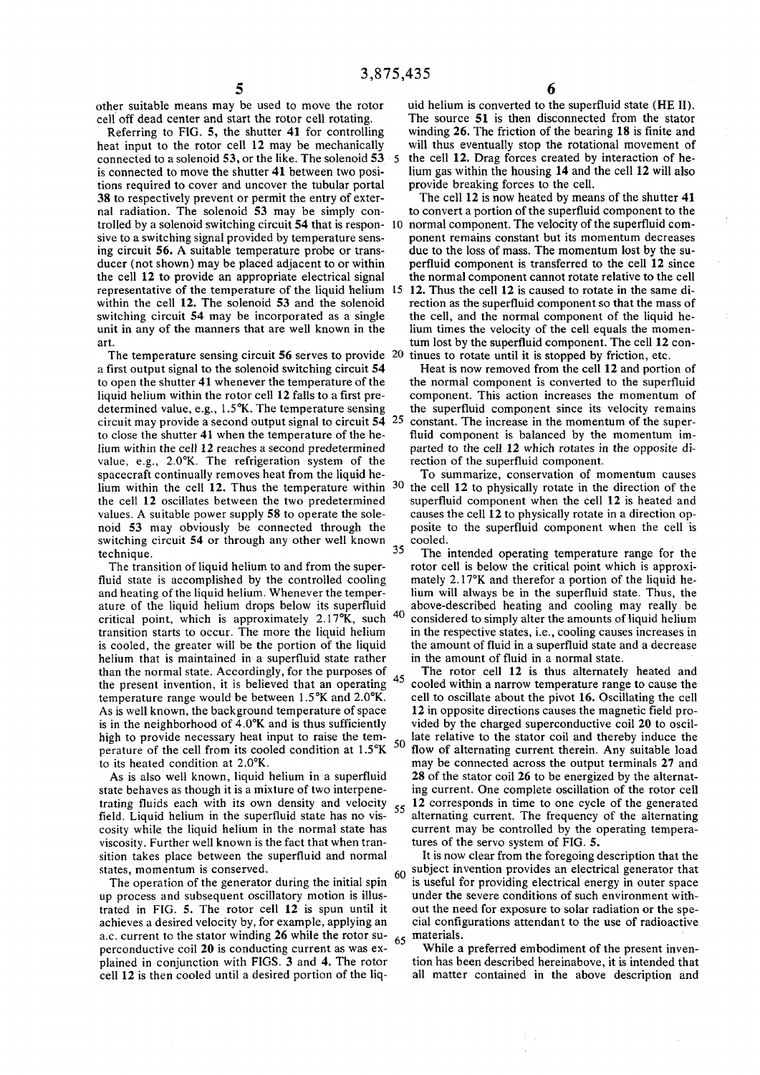45

other suitable means may be used to move the rotor cell off dead center and start the rotor cell rotating.

Referring to FIG. 5, the shutter 41 for controlling heat input to the rotor cell 12 may be mechanically connected to a solenoid 53, or the like. The solenoid 53 is connected to move the shutter 41 between two positions required to cover and uncover the tubular portal 38 to respectively prevent or permit the entry of external radiation. The solenoid 53 may be simply controlled by a solenoid switching circuit 54 that is respon-10 normal component. The velocity of the superfluid comsive to a switching signal provided by temperature sensing circuit 56. A suitable temperature probe or transducer (not shown) may be placed adjacent to or within the cell 12 to provide an appropriate electrical signal representative of the temperature of the liquid helium 15 12. Thus the cell 12 is caused to rotate in the same diwithin the cell 12. The solenoid 53 and the solenoid switching circuit 54 may be incorporated as a single unit in any of the manners that are well known in the art.

The temperature sensing circuit 56 serves to provide 20 a first output signal to the solenoid switching circuit 54 to open the shutter 41 whenever the temperature of the liquid helium within the rotor cell 12 falls to a first predetermined value, e.g., 1.5°K. The temperature sensing circuit may provide a second output signal to circuit 54 to close the shutter 41 when the temperature of the helium within the cell 12 reaches a second predetermined value, e.g., 2.0°K. The refrigeration system of the spacecraft continually removes heat from the liquid hethe cell 12 oscillates between the two predetermined values. A suitable power supply 58 to operate the solenoid 53 may obviously be connected through the switching circuit 54 or through any other well known technique.

The transition of liquid helium to and from the superfluid state is accomplished by the controlled cooling and heating of the liquid helium. Whenever the temperature of the liquid helium drops below its superfluid critical point, which is approximately 2.17°K, such transition starts to occur. The more the liquid helium is cooled, the greater will be the portion of the liquid helium that is maintained in a superfluid state rather than the normal state. Accordingly, for the purposes of the present invention, it is believed that an operating temperature range would be between 1,5°K and 2.0°K. As is well known, the background temperature of space is in the neighborhood of 4.0°K and is thus sufficiently high to provide necessary heat input to raise the temperature of the cell from its cooled condition at 1.5°K to its heated condition at 2.0°K.

As is also well known, liquid helium in a superfluid state behaves as though it is a mixture of two interpenetrating fluids each with its own density and velocity field. Liquid helium in the superfluid state has no viscosity while the liquid helium in the normal state has viscosity. Further well known is the fact that when transition takes place between the superfluid and normal states, momentum is conserved.

The operation of the generator during the initial spin up process and subsequent oscillatory motion is illustrated in FIG. 5. The rotor cell 12 is spun until it achieves a desired velocity by, for example, applying an a.c. current to the stator winding 26 while the rotor superconductive coil 20 is conducting current as was explained in conjunction with FIGS. 3 and 4. The rotor cell 12 is then cooled until a desired portion of the liq-

uid helium is converted to the superfluid state (HE II). The source 51 is then disconnected from the stator winding 26. The friction of the bearing 18 is finite and will thus eventually stop the rotational movement of the cell 12. Drag forces created by interaction of helium gas within the housing 14 and the cell 12 will also provide breaking forces to the cell.

The cell 12 is now heated by means of the shutter 41 to convert a portion of the superfluid component to the ponent remains constant but its momentum decreases due to the loss of mass. The momentum lost by the superfluid component is transferred to the cell 12 since the normal component cannot rotate relative to the cell

rection as the superfluid component so that the mass of the cell, and the normal component of the liquid helium times the velocity of the cell equals the momentum lost by the superfluid component. The cell 12 continues to rotate until it is stopped by friction, etc.

25 Heat is now removed from the cell 12 and portion of the normal component is converted to the superfluid component. This action increases the momentum of the superfluid component since its velocity remains constant. The increase in the momentum of the superfluid component is balanced by the momentum imparted to the cell 12 which rotates in the opposite direction of the superfluid component.

lium within the cell 12. Thus the temperature within  $30$  the cell 12 to physically rotate in the direction of the To summarize, conservation of momentum causes superfluid component when the cell 12 is heated and causes the cell 12 to physically rotate in a direction opposite to the superfluid component when the cell is cooled.

35 40 The intended operating temperature range for the rotor cell is below the critical point which is approximately 2.17°K and therefor a portion of the liquid helium will always be in the superfluid state. Thus, the above-described heating and cooling may really be considered to simply alter the amounts of liquid helium in the respective states, i.e., cooling causes increases in the amount of fluid in a superfluid state and a decrease in the amount of fluid in a normal state.

50 55 The rotor cell 12 is thus alternately heated and cooled within a narrow temperature range to cause the cell to oscillate about the pivot 16. Oscillating the cell 12 in opposite directions causes the magnetic field provided by the charged superconductive coil 20 to oscillate relative to the stator coil and thereby induce the flow of alternating current therein. Any suitable load may be connected across the output terminals 27 and 28 of the stator coil 26 to be energized by the alternating current. One complete oscillation of the rotor cell 12 corresponds in time to one cycle of the generated alternating current. The frequency of the alternating current may be controlled by the operating temperatures of the servo system of FIG. 5.

**60**  65 It is now clear from the foregoing description that the subject invention provides an electrical generator that is useful for providing electrical energy in outer space under the severe conditions of such environment without the need for exposure to solar radiation or the special configurations attendant to the use of radioactive materials.

While a preferred embodiment of the present invention has been described hereinabove, it is intended that all matter contained in the above description and